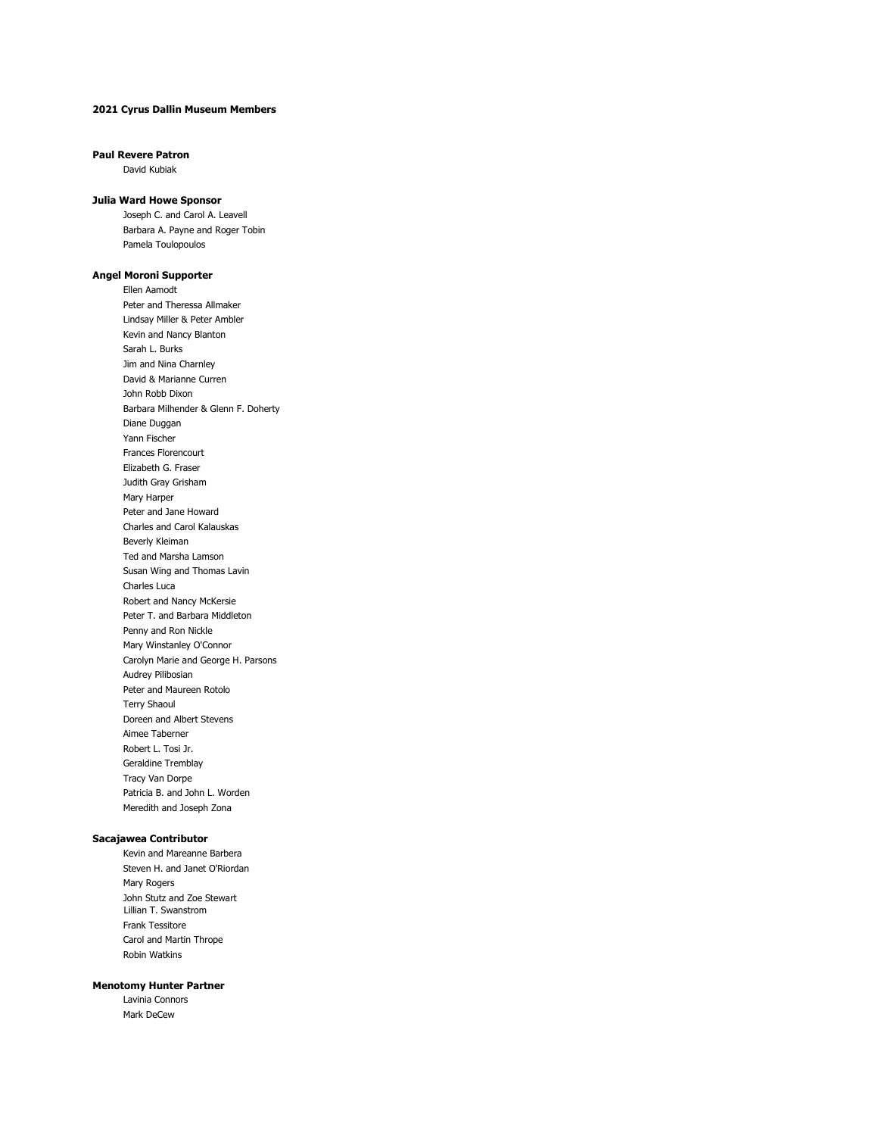## **2021 Cyrus Dallin Museum Members**

#### **Paul Revere Patron**

David Kubiak

### **Julia Ward Howe Sponsor**

Joseph C. and Carol A. Leavell Barbara A. Payne and Roger Tobin Pamela Toulopoulos

#### **Angel Moroni Supporter**

Ellen Aamodt Peter and Theressa Allmaker Lindsay Miller & Peter Ambler Kevin and Nancy Blanton Sarah L. Burks Jim and Nina Charnley David & Marianne Curren John Robb Dixon Barbara Milhender & Glenn F. Doherty Diane Duggan Yann Fischer Frances Florencourt Elizabeth G. Fraser Judith Gray Grisham Mary Harper Peter and Jane Howard Charles and Carol Kalauskas Beverly Kleiman Ted and Marsha Lamson Susan Wing and Thomas Lavin Charles Luca Robert and Nancy McKersie Peter T. and Barbara Middleton Penny and Ron Nickle Mary Winstanley O'Connor Carolyn Marie and George H. Parsons Audrey Pilibosian Peter and Maureen Rotolo Terry Shaoul Doreen and Albert Stevens Aimee Taberner Robert L. Tosi Jr. Geraldine Tremblay Tracy Van Dorpe Patricia B. and John L. Worden Meredith and Joseph Zona

# **Sacajawea Contributor**

Kevin and Mareanne Barbera Steven H. and Janet O'Riordan Mary Rogers John Stutz and Zoe Stewart Lillian T. Swanstrom Frank Tessitore Carol and Martin Thrope Robin Watkins

# **Menotomy Hunter Partner**

Lavinia Connors Mark DeCew